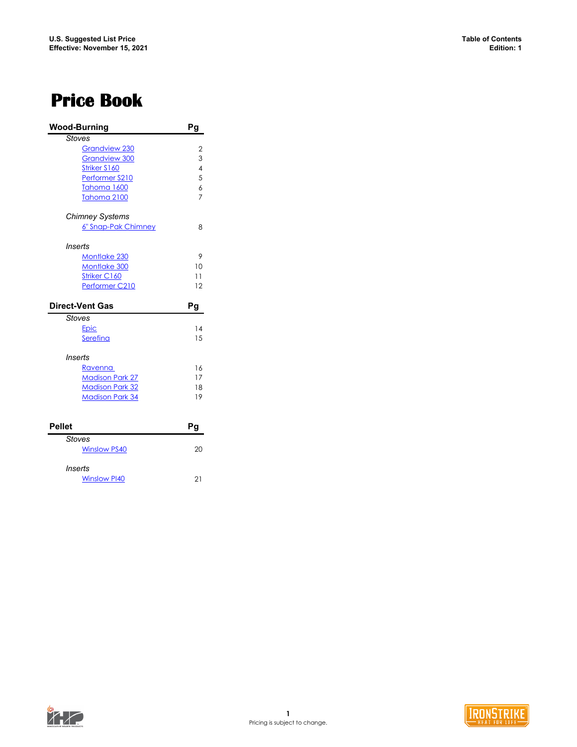### <span id="page-0-0"></span>**Price Book**

|               | <b>Wood-Burning</b>    | Pg                       |
|---------------|------------------------|--------------------------|
|               | <b>Stoves</b>          |                          |
|               | Grandview 230          | $\overline{2}$           |
|               | <b>Grandview 300</b>   | 3                        |
|               | Striker S160           | $\overline{\mathcal{A}}$ |
|               | Performer S210         | 5                        |
|               | Tahoma 1600            | $\overline{6}$           |
|               | Tahoma 2100            | $\overline{7}$           |
|               | <b>Chimney Systems</b> |                          |
|               | 6" Snap-Pak Chimney    | 8                        |
| Inserts       |                        |                          |
|               | <b>Montlake 230</b>    | 9                        |
|               | Montlake 300           | 10                       |
|               | Striker C160           | 11                       |
|               | Performer C210         | 12                       |
|               |                        |                          |
|               | <b>Direct-Vent Gas</b> | Pg                       |
|               | <b>Stoves</b>          |                          |
|               | Epic                   | 14                       |
|               | Serefina               | 15                       |
|               | Inserts                |                          |
|               | <u>Ravenna </u>        | 16                       |
|               | <b>Madison Park 27</b> | 17                       |
|               | <b>Madison Park 32</b> | 18                       |
|               | <b>Madison Park 34</b> | 19                       |
|               |                        |                          |
| <b>Pellet</b> |                        | Pg                       |
|               | Stoves                 |                          |
|               | <b>Winslow PS40</b>    | 20                       |

*Inserts* [Winslow PI40](#page-20-0) 21



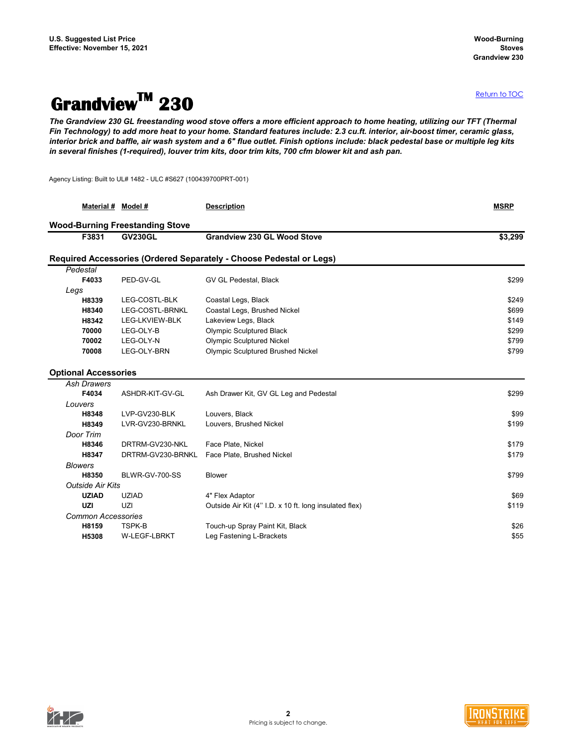## <span id="page-1-0"></span>**GrandviewTM 230**

*The Grandview 230 GL freestanding wood stove offers a more efficient approach to home heating, utilizing our TFT (Thermal Fin Technology) to add more heat to your home. Standard features include: 2.3 cu.ft. interior, air-boost timer, ceramic glass, interior brick and baffle, air wash system and a 6" flue outlet. Finish options include: black pedestal base or multiple leg kits in several finishes (1-required), louver trim kits, door trim kits, 700 cfm blower kit and ash pan.*

Agency Listing: Built to UL# 1482 - ULC #S627 (100439700PRT-001)

|                    |                                                                                                              | <b>Description</b>                                                                                                                                                                                                                                                                                                                                                  | <b>MSRP</b>                                                                                                                                                                                                                                                                                                                                                                                                                       |
|--------------------|--------------------------------------------------------------------------------------------------------------|---------------------------------------------------------------------------------------------------------------------------------------------------------------------------------------------------------------------------------------------------------------------------------------------------------------------------------------------------------------------|-----------------------------------------------------------------------------------------------------------------------------------------------------------------------------------------------------------------------------------------------------------------------------------------------------------------------------------------------------------------------------------------------------------------------------------|
|                    |                                                                                                              |                                                                                                                                                                                                                                                                                                                                                                     |                                                                                                                                                                                                                                                                                                                                                                                                                                   |
| F3831              | <b>GV230GL</b>                                                                                               | <b>Grandview 230 GL Wood Stove</b>                                                                                                                                                                                                                                                                                                                                  | \$3,299                                                                                                                                                                                                                                                                                                                                                                                                                           |
|                    |                                                                                                              |                                                                                                                                                                                                                                                                                                                                                                     |                                                                                                                                                                                                                                                                                                                                                                                                                                   |
| Pedestal           |                                                                                                              |                                                                                                                                                                                                                                                                                                                                                                     |                                                                                                                                                                                                                                                                                                                                                                                                                                   |
|                    | PED-GV-GL                                                                                                    | GV GL Pedestal, Black                                                                                                                                                                                                                                                                                                                                               | \$299                                                                                                                                                                                                                                                                                                                                                                                                                             |
| Legs               |                                                                                                              |                                                                                                                                                                                                                                                                                                                                                                     |                                                                                                                                                                                                                                                                                                                                                                                                                                   |
|                    |                                                                                                              |                                                                                                                                                                                                                                                                                                                                                                     | \$249                                                                                                                                                                                                                                                                                                                                                                                                                             |
|                    |                                                                                                              |                                                                                                                                                                                                                                                                                                                                                                     | \$699                                                                                                                                                                                                                                                                                                                                                                                                                             |
|                    |                                                                                                              |                                                                                                                                                                                                                                                                                                                                                                     | \$149                                                                                                                                                                                                                                                                                                                                                                                                                             |
|                    |                                                                                                              |                                                                                                                                                                                                                                                                                                                                                                     | \$299                                                                                                                                                                                                                                                                                                                                                                                                                             |
|                    |                                                                                                              |                                                                                                                                                                                                                                                                                                                                                                     | \$799                                                                                                                                                                                                                                                                                                                                                                                                                             |
|                    |                                                                                                              |                                                                                                                                                                                                                                                                                                                                                                     | \$799                                                                                                                                                                                                                                                                                                                                                                                                                             |
|                    |                                                                                                              |                                                                                                                                                                                                                                                                                                                                                                     |                                                                                                                                                                                                                                                                                                                                                                                                                                   |
| <b>Ash Drawers</b> |                                                                                                              |                                                                                                                                                                                                                                                                                                                                                                     |                                                                                                                                                                                                                                                                                                                                                                                                                                   |
|                    |                                                                                                              |                                                                                                                                                                                                                                                                                                                                                                     | \$299                                                                                                                                                                                                                                                                                                                                                                                                                             |
| Louvers            |                                                                                                              |                                                                                                                                                                                                                                                                                                                                                                     |                                                                                                                                                                                                                                                                                                                                                                                                                                   |
|                    |                                                                                                              |                                                                                                                                                                                                                                                                                                                                                                     | \$99                                                                                                                                                                                                                                                                                                                                                                                                                              |
| H8349              |                                                                                                              |                                                                                                                                                                                                                                                                                                                                                                     | \$199                                                                                                                                                                                                                                                                                                                                                                                                                             |
|                    |                                                                                                              |                                                                                                                                                                                                                                                                                                                                                                     |                                                                                                                                                                                                                                                                                                                                                                                                                                   |
| H8346              |                                                                                                              |                                                                                                                                                                                                                                                                                                                                                                     | \$179                                                                                                                                                                                                                                                                                                                                                                                                                             |
|                    |                                                                                                              |                                                                                                                                                                                                                                                                                                                                                                     | \$179                                                                                                                                                                                                                                                                                                                                                                                                                             |
| <b>Blowers</b>     |                                                                                                              |                                                                                                                                                                                                                                                                                                                                                                     |                                                                                                                                                                                                                                                                                                                                                                                                                                   |
|                    |                                                                                                              |                                                                                                                                                                                                                                                                                                                                                                     | \$799                                                                                                                                                                                                                                                                                                                                                                                                                             |
|                    |                                                                                                              |                                                                                                                                                                                                                                                                                                                                                                     |                                                                                                                                                                                                                                                                                                                                                                                                                                   |
| <b>UZIAD</b>       | <b>UZIAD</b>                                                                                                 | 4" Flex Adaptor                                                                                                                                                                                                                                                                                                                                                     | \$69                                                                                                                                                                                                                                                                                                                                                                                                                              |
| <b>UZI</b>         | UZI                                                                                                          | Outside Air Kit (4" I.D. x 10 ft. long insulated flex)                                                                                                                                                                                                                                                                                                              | \$119                                                                                                                                                                                                                                                                                                                                                                                                                             |
|                    |                                                                                                              |                                                                                                                                                                                                                                                                                                                                                                     |                                                                                                                                                                                                                                                                                                                                                                                                                                   |
| H8159              | TSPK-B                                                                                                       | Touch-up Spray Paint Kit, Black                                                                                                                                                                                                                                                                                                                                     | \$26                                                                                                                                                                                                                                                                                                                                                                                                                              |
| H5308              | <b>W-LEGF-LBRKT</b>                                                                                          | Leg Fastening L-Brackets                                                                                                                                                                                                                                                                                                                                            | \$55                                                                                                                                                                                                                                                                                                                                                                                                                              |
|                    | F4033<br>H8339<br>H8340<br>H8342<br>70000<br>70002<br>70008<br>F4034<br>H8348<br>Door Trim<br>H8347<br>H8350 | Material # Model #<br><b>Wood-Burning Freestanding Stove</b><br>LEG-COSTL-BLK<br>LEG-COSTL-BRNKL<br>LEG-LKVIEW-BLK<br>LEG-OLY-B<br>LEG-OLY-N<br>LEG-OLY-BRN<br><b>Optional Accessories</b><br>ASHDR-KIT-GV-GL<br>LVP-GV230-BLK<br>LVR-GV230-BRNKL<br>DRTRM-GV230-NKL<br>DRTRM-GV230-BRNKL<br>BLWR-GV-700-SS<br><b>Outside Air Kits</b><br><b>Common Accessories</b> | Required Accessories (Ordered Separately - Choose Pedestal or Legs)<br>Coastal Legs, Black<br>Coastal Legs, Brushed Nickel<br>Lakeview Legs, Black<br><b>Olympic Sculptured Black</b><br><b>Olympic Sculptured Nickel</b><br><b>Olympic Sculptured Brushed Nickel</b><br>Ash Drawer Kit, GV GL Leg and Pedestal<br>Louvers, Black<br>Louvers, Brushed Nickel<br>Face Plate, Nickel<br>Face Plate, Brushed Nickel<br><b>Blower</b> |



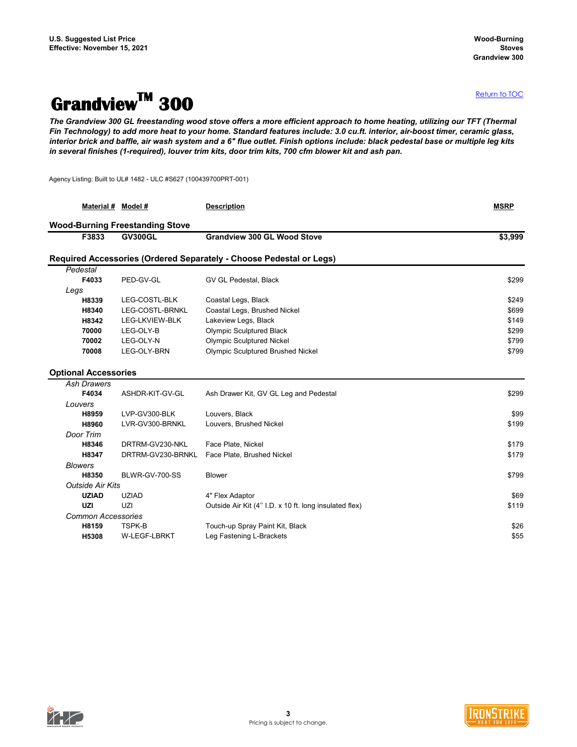## <span id="page-2-0"></span>**GrandviewTM 300**

*The Grandview 300 GL freestanding wood stove offers a more efficient approach to home heating, utilizing our TFT (Thermal Fin Technology) to add more heat to your home. Standard features include: 3.0 cu.ft. interior, air-boost timer, ceramic glass, interior brick and baffle, air wash system and a 6" flue outlet. Finish options include: black pedestal base or multiple leg kits in several finishes (1-required), louver trim kits, door trim kits, 700 cfm blower kit and ash pan.*

Agency Listing: Built to UL# 1482 - ULC #S627 (100439700PRT-001)

|                             | Material # Model #        |                                        | <b>Description</b>                                                  | <b>MSRP</b> |
|-----------------------------|---------------------------|----------------------------------------|---------------------------------------------------------------------|-------------|
|                             |                           | <b>Wood-Burning Freestanding Stove</b> |                                                                     |             |
|                             | F3833                     | <b>GV300GL</b>                         | <b>Grandview 300 GL Wood Stove</b>                                  | \$3,999     |
|                             |                           |                                        | Required Accessories (Ordered Separately - Choose Pedestal or Legs) |             |
| Pedestal                    |                           |                                        |                                                                     |             |
|                             | F4033                     | PED-GV-GL                              | GV GL Pedestal, Black                                               | \$299       |
| Legs                        |                           |                                        |                                                                     |             |
|                             | H8339                     | LEG-COSTL-BLK                          | Coastal Legs, Black                                                 | \$249       |
|                             | H8340                     | LEG-COSTL-BRNKL                        | Coastal Legs, Brushed Nickel                                        | \$699       |
|                             | H8342                     | LEG-LKVIEW-BLK                         | Lakeview Legs, Black                                                | \$149       |
|                             | 70000                     | LEG-OLY-B                              | <b>Olympic Sculptured Black</b>                                     | \$299       |
|                             | 70002                     | LEG-OLY-N                              | <b>Olympic Sculptured Nickel</b>                                    | \$799       |
|                             | 70008                     | LEG-OLY-BRN                            | <b>Olympic Sculptured Brushed Nickel</b>                            | \$799       |
| <b>Optional Accessories</b> |                           |                                        |                                                                     |             |
|                             | <b>Ash Drawers</b>        |                                        |                                                                     |             |
|                             | F4034                     | ASHDR-KIT-GV-GL                        | Ash Drawer Kit, GV GL Leg and Pedestal                              | \$299       |
| Louvers                     |                           |                                        |                                                                     |             |
|                             | H8959                     | LVP-GV300-BLK                          | Louvers, Black                                                      | \$99        |
|                             | H8960                     | LVR-GV300-BRNKL                        | Louvers, Brushed Nickel                                             | \$199       |
| Door Trim                   |                           |                                        |                                                                     |             |
|                             | H8346                     | DRTRM-GV230-NKL                        | Face Plate, Nickel                                                  | \$179       |
|                             | H8347                     | DRTRM-GV230-BRNKL                      | Face Plate, Brushed Nickel                                          | \$179       |
| <b>Blowers</b>              |                           |                                        |                                                                     |             |
|                             | H8350                     | BLWR-GV-700-SS                         | <b>Blower</b>                                                       | \$799       |
|                             | <b>Outside Air Kits</b>   |                                        |                                                                     |             |
|                             | <b>UZIAD</b>              | <b>UZIAD</b>                           | 4" Flex Adaptor                                                     | \$69        |
| <b>UZI</b>                  |                           | UZI                                    | Outside Air Kit (4" I.D. x 10 ft. long insulated flex)              | \$119       |
|                             | <b>Common Accessories</b> |                                        |                                                                     |             |
|                             | H8159                     | TSPK-B                                 | Touch-up Spray Paint Kit, Black                                     | \$26        |
|                             | H5308                     | <b>W-LEGF-LBRKT</b>                    | Leg Fastening L-Brackets                                            | \$55        |
|                             |                           |                                        |                                                                     |             |



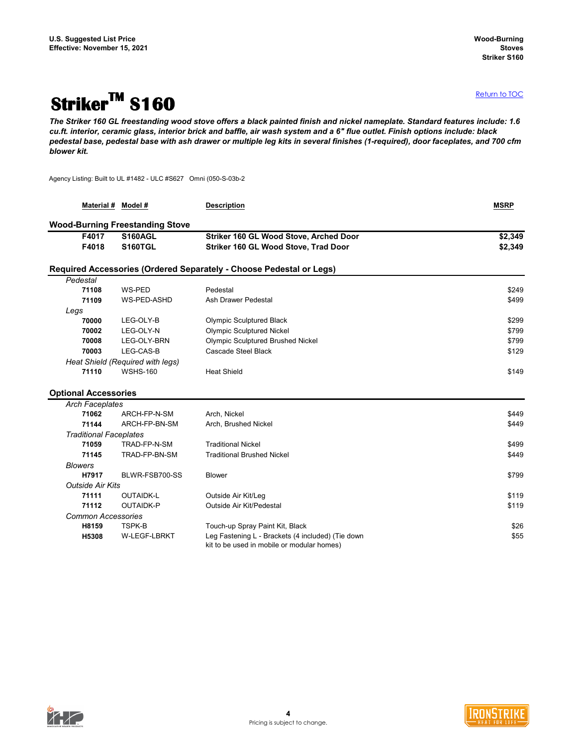## <span id="page-3-0"></span>**StrikerTM S160**

*The Striker 160 GL freestanding wood stove offers a black painted finish and nickel nameplate. Standard features include: 1.6 cu.ft. interior, ceramic glass, interior brick and baffle, air wash system and a 6" flue outlet. Finish options include: black pedestal base, pedestal base with ash drawer or multiple leg kits in several finishes (1-required), door faceplates, and 700 cfm blower kit.*

Agency Listing: Built to UL #1482 - ULC #S627 Omni (050-S-03b-2

|                               | Material # Model #                     | <b>Description</b>                                                                              | <b>MSRP</b> |
|-------------------------------|----------------------------------------|-------------------------------------------------------------------------------------------------|-------------|
|                               | <b>Wood-Burning Freestanding Stove</b> |                                                                                                 |             |
| F4017                         | <b>S160AGL</b>                         | Striker 160 GL Wood Stove, Arched Door                                                          | \$2,349     |
| F4018                         | <b>S160TGL</b>                         | Striker 160 GL Wood Stove, Trad Door                                                            | \$2,349     |
|                               |                                        | Required Accessories (Ordered Separately - Choose Pedestal or Legs)                             |             |
| Pedestal                      |                                        |                                                                                                 |             |
| 71108                         | WS-PED                                 | Pedestal                                                                                        | \$249       |
| 71109                         | WS-PED-ASHD                            | Ash Drawer Pedestal                                                                             | \$499       |
| Legs                          |                                        |                                                                                                 |             |
| 70000                         | LEG-OLY-B                              | <b>Olympic Sculptured Black</b>                                                                 | \$299       |
| 70002                         | LEG-OLY-N                              | <b>Olympic Sculptured Nickel</b>                                                                | \$799       |
| 70008                         | LEG-OLY-BRN                            | <b>Olympic Sculptured Brushed Nickel</b>                                                        | \$799       |
| 70003                         | LEG-CAS-B                              | Cascade Steel Black                                                                             | \$129       |
|                               | Heat Shield (Required with legs)       |                                                                                                 |             |
| 71110                         | <b>WSHS-160</b>                        | <b>Heat Shield</b>                                                                              | \$149       |
|                               |                                        |                                                                                                 |             |
| <b>Optional Accessories</b>   |                                        |                                                                                                 |             |
| <b>Arch Faceplates</b>        |                                        |                                                                                                 |             |
| 71062                         | ARCH-FP-N-SM                           | Arch, Nickel                                                                                    | \$449       |
| 71144                         | ARCH-FP-BN-SM                          | Arch, Brushed Nickel                                                                            | \$449       |
| <b>Traditional Faceplates</b> |                                        |                                                                                                 |             |
| 71059                         | TRAD-FP-N-SM                           | <b>Traditional Nickel</b>                                                                       | \$499       |
| 71145                         | TRAD-FP-BN-SM                          | <b>Traditional Brushed Nickel</b>                                                               | \$449       |
| <b>Blowers</b>                |                                        |                                                                                                 |             |
| H7917                         | BLWR-FSB700-SS                         | <b>Blower</b>                                                                                   | \$799       |
| <b>Outside Air Kits</b>       |                                        |                                                                                                 |             |
| 71111                         | <b>OUTAIDK-L</b>                       | Outside Air Kit/Leg                                                                             | \$119       |
| 71112                         | <b>OUTAIDK-P</b>                       | Outside Air Kit/Pedestal                                                                        | \$119       |
| <b>Common Accessories</b>     |                                        |                                                                                                 |             |
| H8159                         | TSPK-B                                 | Touch-up Spray Paint Kit, Black                                                                 | \$26        |
| H5308                         | W-LEGF-LBRKT                           | Leg Fastening L - Brackets (4 included) (Tie down<br>kit to be used in mobile or modular homes) | \$55        |



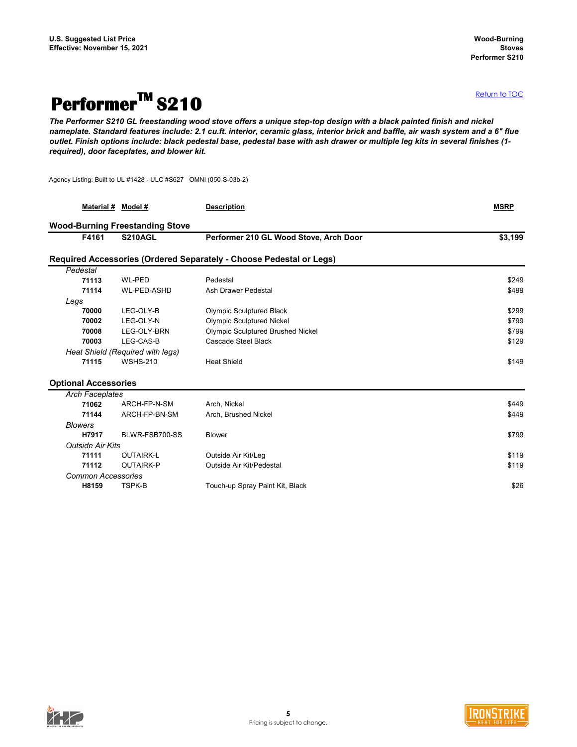## <span id="page-4-0"></span>**PerformerTM S210**

*The Performer S210 GL freestanding wood stove offers a unique step-top design with a black painted finish and nickel nameplate. Standard features include: 2.1 cu.ft. interior, ceramic glass, interior brick and baffle, air wash system and a 6" flue outlet. Finish options include: black pedestal base, pedestal base with ash drawer or multiple leg kits in several finishes (1 required), door faceplates, and blower kit.*

Agency Listing: Built to UL #1428 - ULC #S627 OMNI (050-S-03b-2)

| Material #                  | Model #                                | <b>Description</b>                                                  | <b>MSRP</b> |
|-----------------------------|----------------------------------------|---------------------------------------------------------------------|-------------|
|                             | <b>Wood-Burning Freestanding Stove</b> |                                                                     |             |
| F4161                       | <b>S210AGL</b>                         | Performer 210 GL Wood Stove, Arch Door                              | \$3,199     |
|                             |                                        | Required Accessories (Ordered Separately - Choose Pedestal or Legs) |             |
| Pedestal                    |                                        |                                                                     |             |
| 71113                       | <b>WL-PED</b>                          | Pedestal                                                            | \$249       |
| 71114                       | <b>WL-PED-ASHD</b>                     | <b>Ash Drawer Pedestal</b>                                          | \$499       |
| Legs                        |                                        |                                                                     |             |
| 70000                       | LEG-OLY-B                              | <b>Olympic Sculptured Black</b>                                     | \$299       |
| 70002                       | LEG-OLY-N                              | <b>Olympic Sculptured Nickel</b>                                    | \$799       |
| 70008                       | LEG-OLY-BRN                            | <b>Olympic Sculptured Brushed Nickel</b>                            | \$799       |
| 70003                       | LEG-CAS-B                              | <b>Cascade Steel Black</b>                                          | \$129       |
|                             | Heat Shield (Required with legs)       |                                                                     |             |
| 71115                       | <b>WSHS-210</b>                        | <b>Heat Shield</b>                                                  | \$149       |
| <b>Optional Accessories</b> |                                        |                                                                     |             |
| <b>Arch Faceplates</b>      |                                        |                                                                     |             |
| 71062                       | ARCH-FP-N-SM                           | Arch, Nickel                                                        | \$449       |
| 71144                       | ARCH-FP-BN-SM                          | Arch, Brushed Nickel                                                | \$449       |
| <b>Blowers</b>              |                                        |                                                                     |             |
| H7917                       | BLWR-FSB700-SS                         | <b>Blower</b>                                                       | \$799       |
| <b>Outside Air Kits</b>     |                                        |                                                                     |             |
| 71111                       | <b>OUTAIRK-L</b>                       | Outside Air Kit/Leg                                                 | \$119       |
| 71112                       | <b>OUTAIRK-P</b>                       | <b>Outside Air Kit/Pedestal</b>                                     | \$119       |
| <b>Common Accessories</b>   |                                        |                                                                     |             |
| H8159                       | <b>TSPK-B</b>                          | Touch-up Spray Paint Kit, Black                                     | \$26        |
|                             |                                        |                                                                     |             |



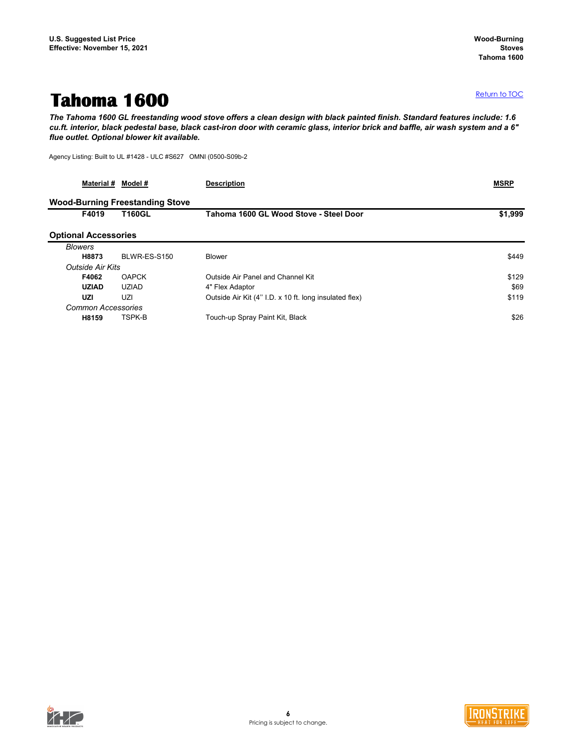### <span id="page-5-0"></span>**Tahoma 1600**

*The Tahoma 1600 GL freestanding wood stove offers a clean design with black painted finish. Standard features include: 1.6 cu.ft. interior, black pedestal base, black cast-iron door with ceramic glass, interior brick and baffle, air wash system and a 6" flue outlet. Optional blower kit available.*

Agency Listing: Built to UL #1428 - ULC #S627 OMNI (0500-S09b-2

| Material #                  | Model #                                | <b>Description</b>                                     | <b>MSRP</b> |
|-----------------------------|----------------------------------------|--------------------------------------------------------|-------------|
|                             | <b>Wood-Burning Freestanding Stove</b> |                                                        |             |
| F4019                       | <b>T160GL</b>                          | Tahoma 1600 GL Wood Stove - Steel Door                 | \$1,999     |
| <b>Optional Accessories</b> |                                        |                                                        |             |
| <b>Blowers</b>              |                                        |                                                        |             |
| H8873                       | BLWR-ES-S150                           | <b>Blower</b>                                          | \$449       |
| <b>Outside Air Kits</b>     |                                        |                                                        |             |
| F4062                       | <b>OAPCK</b>                           | Outside Air Panel and Channel Kit                      | \$129       |
| <b>UZIAD</b>                | <b>UZIAD</b>                           | 4" Flex Adaptor                                        | \$69        |
| <b>UZI</b>                  | UZI                                    | Outside Air Kit (4" I.D. x 10 ft. long insulated flex) | \$119       |
| <b>Common Accessories</b>   |                                        |                                                        |             |
| H8159                       | TSPK-B                                 | Touch-up Spray Paint Kit, Black                        | \$26        |



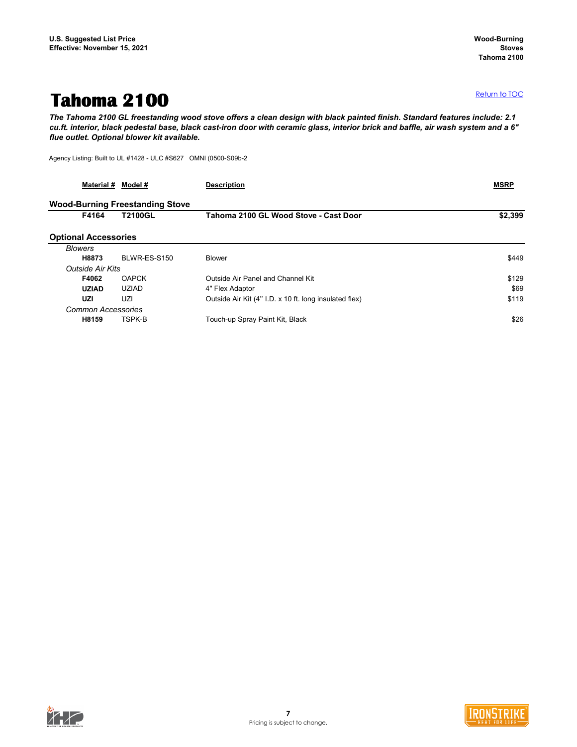### <span id="page-6-0"></span>**Tahoma 2100**

*The Tahoma 2100 GL freestanding wood stove offers a clean design with black painted finish. Standard features include: 2.1 cu.ft. interior, black pedestal base, black cast-iron door with ceramic glass, interior brick and baffle, air wash system and a 6" flue outlet. Optional blower kit available.*

Agency Listing: Built to UL #1428 - ULC #S627 OMNI (0500-S09b-2

| <b>Material #</b>           | Model #                                | <b>Description</b>                                     | <b>MSRP</b> |
|-----------------------------|----------------------------------------|--------------------------------------------------------|-------------|
|                             | <b>Wood-Burning Freestanding Stove</b> |                                                        |             |
| F4164                       | <b>T2100GL</b>                         | Tahoma 2100 GL Wood Stove - Cast Door                  | \$2,399     |
| <b>Optional Accessories</b> |                                        |                                                        |             |
| <b>Blowers</b>              |                                        |                                                        |             |
| H8873                       | BLWR-ES-S150                           | <b>Blower</b>                                          | \$449       |
| <b>Outside Air Kits</b>     |                                        |                                                        |             |
| F4062                       | <b>OAPCK</b>                           | Outside Air Panel and Channel Kit                      | \$129       |
| <b>UZIAD</b>                | <b>UZIAD</b>                           | 4" Flex Adaptor                                        | \$69        |
| <b>UZI</b>                  | UZI.                                   | Outside Air Kit (4" I.D. x 10 ft. long insulated flex) | \$119       |
| <b>Common Accessories</b>   |                                        |                                                        |             |
| H8159                       | TSPK-B                                 | Touch-up Spray Paint Kit, Black                        | \$26        |



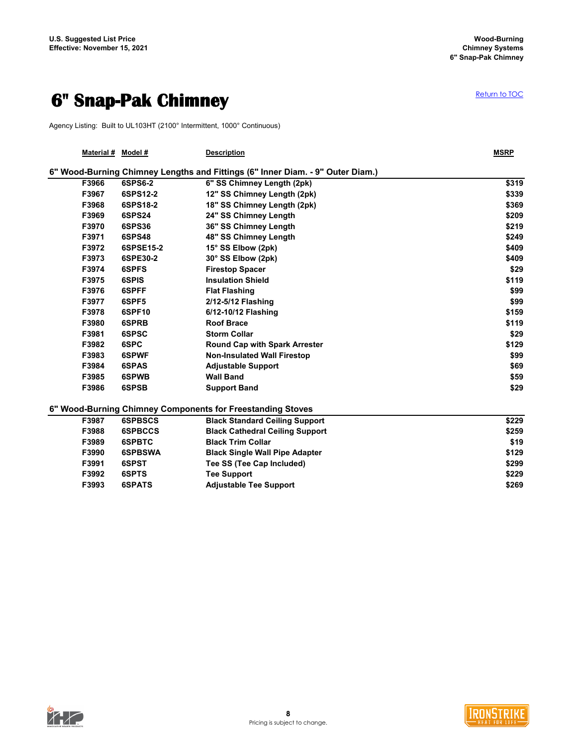### <span id="page-7-0"></span>**6" Snap-Pak Chimney**

Agency Listing: Built to UL103HT (2100° Intermittent, 1000° Continuous)

| Material # | Model #        | <b>Description</b>                                                             | <b>MSRP</b> |
|------------|----------------|--------------------------------------------------------------------------------|-------------|
|            |                | 6" Wood-Burning Chimney Lengths and Fittings (6" Inner Diam. - 9" Outer Diam.) |             |
| F3966      | 6SPS6-2        | 6" SS Chimney Length (2pk)                                                     | \$319       |
| F3967      | 6SPS12-2       | 12" SS Chimney Length (2pk)                                                    | \$339       |
| F3968      | 6SPS18-2       | 18" SS Chimney Length (2pk)                                                    | \$369       |
| F3969      | <b>6SPS24</b>  | 24" SS Chimney Length                                                          | \$209       |
| F3970      | <b>6SPS36</b>  | 36" SS Chimney Length                                                          | \$219       |
| F3971      | <b>6SPS48</b>  | 48" SS Chimney Length                                                          | \$249       |
| F3972      | 6SPSE15-2      | 15° SS Elbow (2pk)                                                             | \$409       |
| F3973      | 6SPE30-2       | 30° SS Elbow (2pk)                                                             | \$409       |
| F3974      | 6SPFS          | <b>Firestop Spacer</b>                                                         | \$29        |
| F3975      | 6SPIS          | <b>Insulation Shield</b>                                                       | \$119       |
| F3976      | 6SPFF          | <b>Flat Flashing</b>                                                           | \$99        |
| F3977      | 6SPF5          | 2/12-5/12 Flashing                                                             | \$99        |
| F3978      | 6SPF10         | 6/12-10/12 Flashing                                                            | \$159       |
| F3980      | 6SPRB          | <b>Roof Brace</b>                                                              | \$119       |
| F3981      | 6SPSC          | <b>Storm Collar</b>                                                            | \$29        |
| F3982      | 6SPC           | <b>Round Cap with Spark Arrester</b>                                           | \$129       |
| F3983      | 6SPWF          | <b>Non-Insulated Wall Firestop</b>                                             | \$99        |
| F3984      | 6SPAS          | <b>Adjustable Support</b>                                                      | \$69        |
| F3985      | 6SPWB          | <b>Wall Band</b>                                                               | \$59        |
| F3986      | 6SPSB          | <b>Support Band</b>                                                            | \$29        |
|            |                | 6" Wood-Burning Chimney Components for Freestanding Stoves                     |             |
| F3987      | <b>6SPBSCS</b> | <b>Black Standard Ceiling Support</b>                                          | \$229       |
| F3988      | <b>6SPBCCS</b> | <b>Black Cathedral Ceiling Support</b>                                         | \$259       |
| F3989      | 6SPBTC         | <b>Black Trim Collar</b>                                                       | \$19        |
| F3990      | <b>6SPBSWA</b> | <b>Black Single Wall Pipe Adapter</b>                                          | \$129       |
| F3991      | 6SPST          | Tee SS (Tee Cap Included)                                                      | \$299       |
| F3992      | 6SPTS          | <b>Tee Support</b>                                                             | \$229       |
| F3993      | <b>6SPATS</b>  | <b>Adjustable Tee Support</b>                                                  | \$269       |



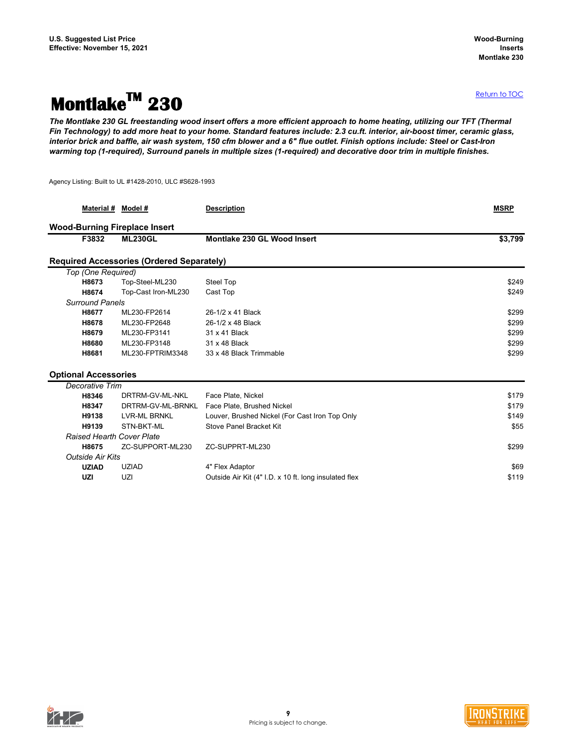### <span id="page-8-0"></span>**MontlakeTM 230**

*The Montlake 230 GL freestanding wood insert offers a more efficient approach to home heating, utilizing our TFT (Thermal Fin Technology) to add more heat to your home. Standard features include: 2.3 cu.ft. interior, air-boost timer, ceramic glass, interior brick and baffle, air wash system, 150 cfm blower and a 6" flue outlet. Finish options include: Steel or Cast-Iron warming top (1-required), Surround panels in multiple sizes (1-required) and decorative door trim in multiple finishes.*

Agency Listing: Built to UL #1428-2010, ULC #S628-1993

|                             | Material # Model #                               | <b>Description</b>                                    | <b>MSRP</b> |
|-----------------------------|--------------------------------------------------|-------------------------------------------------------|-------------|
|                             | <b>Wood-Burning Fireplace Insert</b>             |                                                       |             |
| F3832                       | <b>ML230GL</b>                                   | <b>Montlake 230 GL Wood Insert</b>                    | \$3,799     |
|                             | <b>Required Accessories (Ordered Separately)</b> |                                                       |             |
| Top (One Required)          |                                                  |                                                       |             |
| H8673                       | Top-Steel-ML230                                  | <b>Steel Top</b>                                      | \$249       |
| H8674                       | Top-Cast Iron-ML230                              | Cast Top                                              | \$249       |
| <b>Surround Panels</b>      |                                                  |                                                       |             |
| H8677                       | ML230-FP2614                                     | 26-1/2 x 41 Black                                     | \$299       |
| H8678                       | ML230-FP2648                                     | 26-1/2 x 48 Black                                     | \$299       |
| H8679                       | ML230-FP3141                                     | 31 x 41 Black                                         | \$299       |
| H8680                       | ML230-FP3148                                     | 31 x 48 Black                                         | \$299       |
| H8681                       | ML230-FPTRIM3348                                 | 33 x 48 Black Trimmable                               | \$299       |
| <b>Optional Accessories</b> |                                                  |                                                       |             |
| <b>Decorative Trim</b>      |                                                  |                                                       |             |
| H8346                       | DRTRM-GV-ML-NKL                                  | Face Plate, Nickel                                    | \$179       |
| H8347                       | DRTRM-GV-ML-BRNKL                                | Face Plate, Brushed Nickel                            | \$179       |
| H9138                       | <b>LVR-ML BRNKL</b>                              | Louver, Brushed Nickel (For Cast Iron Top Only        | \$149       |
| H9139                       | STN-BKT-ML                                       | <b>Stove Panel Bracket Kit</b>                        | \$55        |
|                             | <b>Raised Hearth Cover Plate</b>                 |                                                       |             |
| H8675                       | ZC-SUPPORT-ML230                                 | ZC-SUPPRT-ML230                                       | \$299       |
| <b>Outside Air Kits</b>     |                                                  |                                                       |             |
| <b>UZIAD</b>                | <b>UZIAD</b>                                     | 4" Flex Adaptor                                       | \$69        |
| <b>UZI</b>                  | UZI                                              | Outside Air Kit (4" I.D. x 10 ft. long insulated flex | \$119       |
|                             |                                                  |                                                       |             |



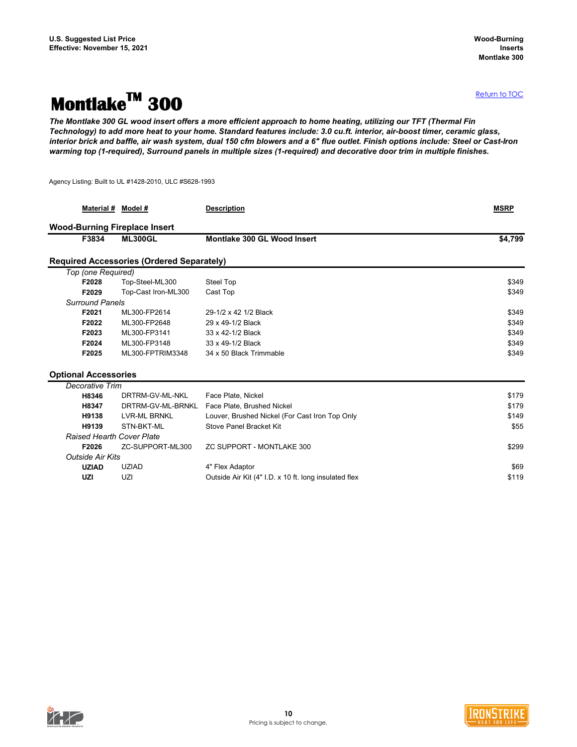## <span id="page-9-0"></span>**MontlakeTM 300**

*The Montlake 300 GL wood insert offers a more efficient approach to home heating, utilizing our TFT (Thermal Fin Technology) to add more heat to your home. Standard features include: 3.0 cu.ft. interior, air-boost timer, ceramic glass, interior brick and baffle, air wash system, dual 150 cfm blowers and a 6" flue outlet. Finish options include: Steel or Cast-Iron warming top (1-required), Surround panels in multiple sizes (1-required) and decorative door trim in multiple finishes.*

Agency Listing: Built to UL #1428-2010, ULC #S628-1993

|                             | Material # Model #                               | <b>Description</b>                                    | <b>MSRP</b> |
|-----------------------------|--------------------------------------------------|-------------------------------------------------------|-------------|
|                             | <b>Wood-Burning Fireplace Insert</b>             |                                                       |             |
| F3834                       | <b>ML300GL</b>                                   | <b>Montlake 300 GL Wood Insert</b>                    | \$4,799     |
|                             | <b>Required Accessories (Ordered Separately)</b> |                                                       |             |
| Top (one Required)          |                                                  |                                                       |             |
| F2028                       | Top-Steel-ML300                                  | <b>Steel Top</b>                                      | \$349       |
| F2029                       | Top-Cast Iron-ML300                              | Cast Top                                              | \$349       |
| <b>Surround Panels</b>      |                                                  |                                                       |             |
| F2021                       | ML300-FP2614                                     | 29-1/2 x 42 1/2 Black                                 | \$349       |
| F2022                       | ML300-FP2648                                     | 29 x 49-1/2 Black                                     | \$349       |
| F2023                       | ML300-FP3141                                     | 33 x 42-1/2 Black                                     | \$349       |
| F2024                       | ML300-FP3148                                     | 33 x 49-1/2 Black                                     | \$349       |
| F2025                       | ML300-FPTRIM3348                                 | 34 x 50 Black Trimmable                               | \$349       |
| <b>Optional Accessories</b> |                                                  |                                                       |             |
| <b>Decorative Trim</b>      |                                                  |                                                       |             |
| H8346                       | DRTRM-GV-ML-NKL                                  | Face Plate, Nickel                                    | \$179       |
| H8347                       | DRTRM-GV-ML-BRNKL                                | Face Plate, Brushed Nickel                            | \$179       |
| H9138                       | <b>LVR-ML BRNKL</b>                              | Louver, Brushed Nickel (For Cast Iron Top Only        | \$149       |
| H9139                       | STN-BKT-ML                                       | <b>Stove Panel Bracket Kit</b>                        | \$55        |
|                             | <b>Raised Hearth Cover Plate</b>                 |                                                       |             |
| F2026                       | ZC-SUPPORT-ML300                                 | <b>ZC SUPPORT - MONTLAKE 300</b>                      | \$299       |
| <b>Outside Air Kits</b>     |                                                  |                                                       |             |
| <b>UZIAD</b>                | <b>UZIAD</b>                                     | 4" Flex Adaptor                                       | \$69        |
| <b>UZI</b>                  | UZI                                              | Outside Air Kit (4" I.D. x 10 ft. long insulated flex | \$119       |
|                             |                                                  |                                                       |             |



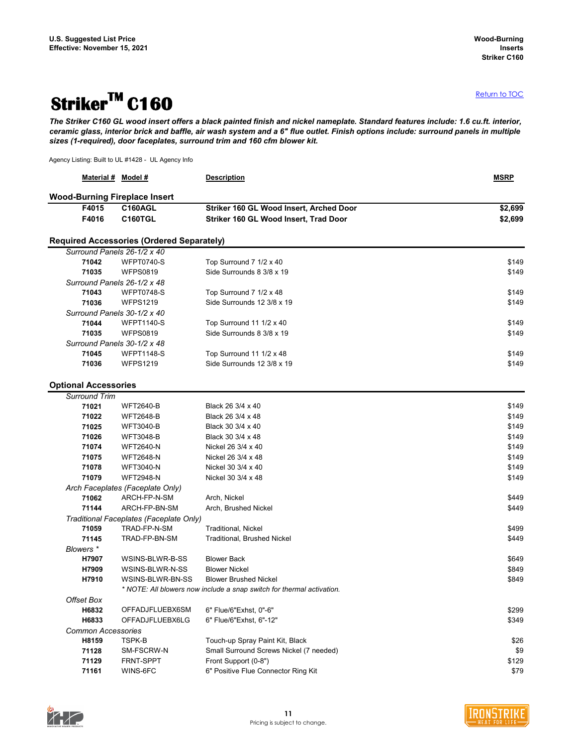## <span id="page-10-0"></span>**StrikerTM C160**

*The Striker C160 GL wood insert offers a black painted finish and nickel nameplate. Standard features include: 1.6 cu.ft. interior, ceramic glass, interior brick and baffle, air wash system and a 6" flue outlet. Finish options include: surround panels in multiple sizes (1-required), door faceplates, surround trim and 160 cfm blower kit.*

Agency Listing: Built to UL #1428 - UL Agency Info

|                             | Material # Model #                                                              | <b>Description</b>                                                    | <b>MSRP</b> |
|-----------------------------|---------------------------------------------------------------------------------|-----------------------------------------------------------------------|-------------|
|                             | <b>Wood-Burning Fireplace Insert</b>                                            |                                                                       |             |
| F4015                       | <b>C160AGL</b>                                                                  | Striker 160 GL Wood Insert, Arched Door                               | \$2,699     |
| F4016                       | <b>C160TGL</b>                                                                  | Striker 160 GL Wood Insert, Trad Door                                 | \$2,699     |
|                             |                                                                                 |                                                                       |             |
|                             | <b>Required Accessories (Ordered Separately)</b><br>Surround Panels 26-1/2 x 40 |                                                                       |             |
| 71042                       | <b>WFPT0740-S</b>                                                               | Top Surround 7 1/2 x 40                                               | \$149       |
| 71035                       | <b>WFPS0819</b>                                                                 | Side Surrounds 8 3/8 x 19                                             | \$149       |
|                             | Surround Panels 26-1/2 x 48                                                     |                                                                       |             |
| 71043                       | <b>WFPT0748-S</b>                                                               | Top Surround 7 1/2 x 48                                               | \$149       |
| 71036                       | <b>WFPS1219</b>                                                                 | Side Surrounds 12 3/8 x 19                                            | \$149       |
|                             | Surround Panels 30-1/2 x 40                                                     |                                                                       |             |
| 71044                       | <b>WFPT1140-S</b>                                                               | Top Surround 11 1/2 x 40                                              | \$149       |
| 71035                       | <b>WFPS0819</b>                                                                 | Side Surrounds 8 3/8 x 19                                             | \$149       |
|                             | Surround Panels 30-1/2 x 48                                                     |                                                                       |             |
| 71045                       | <b>WFPT1148-S</b>                                                               | Top Surround 11 1/2 x 48                                              | \$149       |
| 71036                       | <b>WFPS1219</b>                                                                 | Side Surrounds 12 3/8 x 19                                            | \$149       |
|                             |                                                                                 |                                                                       |             |
| <b>Optional Accessories</b> |                                                                                 |                                                                       |             |
| <b>Surround Trim</b>        |                                                                                 |                                                                       |             |
| 71021                       | <b>WFT2640-B</b>                                                                | Black 26 3/4 x 40                                                     | \$149       |
| 71022                       | <b>WFT2648-B</b>                                                                | Black 26 3/4 x 48                                                     | \$149       |
| 71025                       | <b>WFT3040-B</b>                                                                | Black 30 3/4 x 40                                                     | \$149       |
| 71026                       | <b>WFT3048-B</b>                                                                | Black 30 3/4 x 48                                                     | \$149       |
| 71074                       | <b>WFT2640-N</b>                                                                | Nickel 26 3/4 x 40                                                    | \$149       |
| 71075                       | <b>WFT2648-N</b>                                                                | Nickel 26 3/4 x 48                                                    | \$149       |
| 71078                       | <b>WFT3040-N</b>                                                                | Nickel 30 3/4 x 40                                                    | \$149       |
| 71079                       | <b>WFT2948-N</b>                                                                | Nickel 30 3/4 x 48                                                    | \$149       |
|                             | Arch Faceplates (Faceplate Only)                                                |                                                                       |             |
| 71062                       | ARCH-FP-N-SM                                                                    | Arch, Nickel                                                          | \$449       |
| 71144                       | ARCH-FP-BN-SM                                                                   | Arch, Brushed Nickel                                                  | \$449       |
|                             | Traditional Faceplates (Faceplate Only)                                         |                                                                       |             |
| 71059                       | TRAD-FP-N-SM                                                                    | Traditional, Nickel                                                   | \$499       |
| 71145                       | TRAD-FP-BN-SM                                                                   | <b>Traditional, Brushed Nickel</b>                                    | \$449       |
| Blowers *                   |                                                                                 |                                                                       |             |
| H7907                       | WSINS-BLWR-B-SS                                                                 | <b>Blower Back</b>                                                    | \$649       |
| H7909                       | WSINS-BLWR-N-SS                                                                 | <b>Blower Nickel</b>                                                  | \$849       |
| H7910                       | WSINS-BLWR-BN-SS                                                                | <b>Blower Brushed Nickel</b>                                          | \$849       |
|                             |                                                                                 | * NOTE: All blowers now include a snap switch for thermal activation. |             |
| <b>Offset Box</b>           |                                                                                 |                                                                       |             |
| H6832                       | OFFADJFLUEBX6SM                                                                 | 6" Flue/6"Exhst, 0"-6"                                                | \$299       |
| H6833                       | OFFADJFLUEBX6LG                                                                 | 6" Flue/6"Exhst, 6"-12"                                               | \$349       |
|                             | <b>Common Accessories</b>                                                       |                                                                       |             |
| H8159                       | TSPK-B                                                                          | Touch-up Spray Paint Kit, Black                                       | \$26        |
| 71128                       | SM-FSCRW-N                                                                      | Small Surround Screws Nickel (7 needed)                               | \$9         |
| 71129                       | FRNT-SPPT                                                                       | Front Support (0-8")                                                  | \$129       |
| 71161                       | WINS-6FC                                                                        | 6" Positive Flue Connector Ring Kit                                   | \$79        |

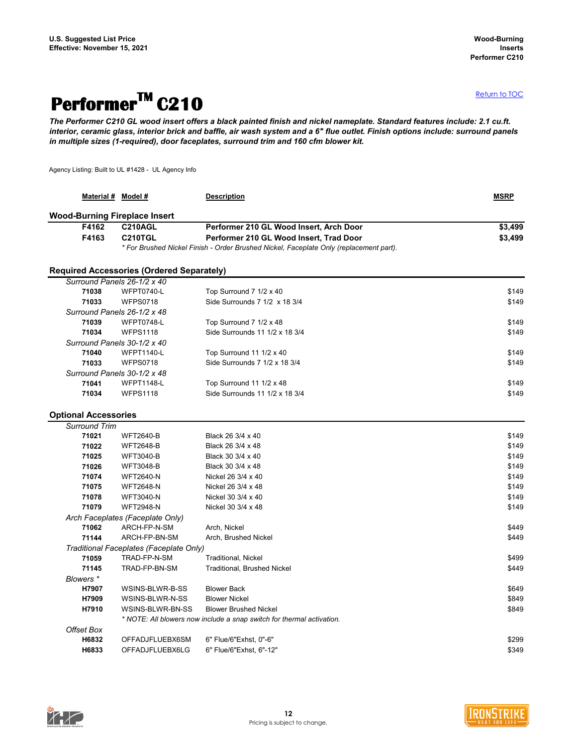## <span id="page-11-0"></span>**PerformerTM C210**

*The Performer C210 GL wood insert offers a black painted finish and nickel nameplate. Standard features include: 2.1 cu.ft. interior, ceramic glass, interior brick and baffle, air wash system and a 6" flue outlet. Finish options include: surround panels in multiple sizes (1-required), door faceplates, surround trim and 160 cfm blower kit.*

Agency Listing: Built to UL #1428 - UL Agency Info

| <b>Material #</b>                    | Model #                                          | <b>Description</b>                                                                     | <b>MSRP</b> |
|--------------------------------------|--------------------------------------------------|----------------------------------------------------------------------------------------|-------------|
| <b>Wood-Burning Fireplace Insert</b> |                                                  |                                                                                        |             |
| F4162                                | <b>C210AGL</b>                                   | Performer 210 GL Wood Insert, Arch Door                                                | \$3,499     |
| F4163                                | <b>C210TGL</b>                                   | Performer 210 GL Wood Insert, Trad Door                                                | \$3,499     |
|                                      |                                                  | * For Brushed Nickel Finish - Order Brushed Nickel, Faceplate Only (replacement part). |             |
|                                      | <b>Required Accessories (Ordered Separately)</b> |                                                                                        |             |
| Surround Panels 26-1/2 x 40          |                                                  |                                                                                        |             |
| 71038                                | <b>WFPT0740-L</b>                                | Top Surround 7 1/2 x 40                                                                | \$149       |
| 71033                                | <b>WFPS0718</b>                                  | Side Surrounds 7 1/2 x 18 3/4                                                          | \$149       |
| Surround Panels 26-1/2 x 48          |                                                  |                                                                                        |             |
| 71039                                | <b>WFPT0748-L</b>                                | Top Surround 7 1/2 x 48                                                                | \$149       |
| 71034                                | <b>WFPS1118</b>                                  | Side Surrounds 11 1/2 x 18 3/4                                                         | \$149       |
| Surround Panels 30-1/2 x 40          |                                                  |                                                                                        |             |
| 71040                                | <b>WFPT1140-L</b>                                | Top Surround 11 1/2 x 40                                                               | \$149       |
| 71033                                | <b>WFPS0718</b>                                  | Side Surrounds 7 1/2 x 18 3/4                                                          | \$149       |
| Surround Panels 30-1/2 x 48          |                                                  |                                                                                        |             |
| 71041                                | <b>WFPT1148-L</b>                                | Top Surround 11 1/2 x 48                                                               | \$149       |
| 71034                                | <b>WFPS1118</b>                                  | Side Surrounds 11 1/2 x 18 3/4                                                         | \$149       |
| <b>Optional Accessories</b>          |                                                  |                                                                                        |             |
| <b>Surround Trim</b>                 |                                                  |                                                                                        |             |
| 71021                                | <b>WFT2640-B</b>                                 | Black 26 3/4 x 40                                                                      | \$149       |
| 71022                                | <b>WFT2648-B</b>                                 | Black 26 3/4 x 48                                                                      | \$149       |
| 71025                                | <b>WFT3040-B</b>                                 | Black 30 3/4 x 40                                                                      | \$149       |
| 71026                                | <b>WFT3048-B</b>                                 | Black 30 3/4 x 48                                                                      | \$149       |
| 71074                                | <b>WFT2640-N</b>                                 | Nickel 26 3/4 x 40                                                                     | \$149       |
| 71075                                | <b>WFT2648-N</b>                                 | Nickel 26 3/4 x 48                                                                     | \$149       |
| 71078                                | <b>WFT3040-N</b>                                 | Nickel 30 3/4 x 40                                                                     | \$149       |
| 71079                                | <b>WFT2948-N</b>                                 | Nickel 30 3/4 x 48                                                                     | \$149       |
|                                      | Arch Faceplates (Faceplate Only)                 |                                                                                        |             |
| 71062                                | ARCH-FP-N-SM                                     | Arch, Nickel                                                                           | \$449       |
| 71144                                | ARCH-FP-BN-SM                                    | Arch, Brushed Nickel                                                                   | \$449       |
|                                      | Traditional Faceplates (Faceplate Only)          |                                                                                        |             |
| 71059                                | TRAD-FP-N-SM                                     | <b>Traditional, Nickel</b>                                                             | \$499       |
| 71145                                | TRAD-FP-BN-SM                                    | <b>Traditional, Brushed Nickel</b>                                                     | \$449       |
| Blowers *                            |                                                  |                                                                                        |             |
| H7907                                | WSINS-BLWR-B-SS                                  | <b>Blower Back</b>                                                                     | \$649       |
| H7909                                | WSINS-BLWR-N-SS                                  | <b>Blower Nickel</b>                                                                   | \$849       |
| H7910                                | WSINS-BLWR-BN-SS                                 | <b>Blower Brushed Nickel</b>                                                           | \$849       |
|                                      |                                                  | * NOTE: All blowers now include a snap switch for thermal activation.                  |             |
| <b>Offset Box</b>                    |                                                  |                                                                                        |             |
| H6832                                | OFFADJFLUEBX6SM                                  | 6" Flue/6"Exhst, 0"-6"                                                                 | \$299       |
| H6833                                | OFFADJFLUEBX6LG                                  | 6" Flue/6"Exhst, 6"-12"                                                                | \$349       |



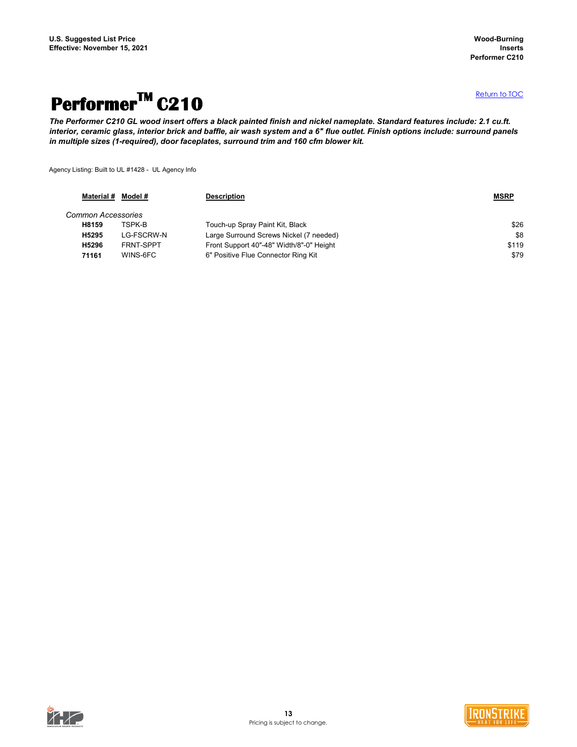## **PerformerTM C210**

*The Performer C210 GL wood insert offers a black painted finish and nickel nameplate. Standard features include: 2.1 cu.ft. interior, ceramic glass, interior brick and baffle, air wash system and a 6" flue outlet. Finish options include: surround panels in multiple sizes (1-required), door faceplates, surround trim and 160 cfm blower kit.*

Agency Listing: Built to UL #1428 - UL Agency Info

|                           | Material # Model # | <b>Description</b>                       | <b>MSRP</b> |
|---------------------------|--------------------|------------------------------------------|-------------|
| <b>Common Accessories</b> |                    |                                          |             |
| H8159                     | TSPK-B             | Touch-up Spray Paint Kit, Black          | \$26        |
| H5295                     | LG-FSCRW-N         | Large Surround Screws Nickel (7 needed)  | \$8         |
| H5296                     | FRNT-SPPT          | Front Support 40"-48" Width/8"-0" Height | \$119       |
| 71161                     | WINS-6FC           | 6" Positive Flue Connector Ring Kit      | \$79        |



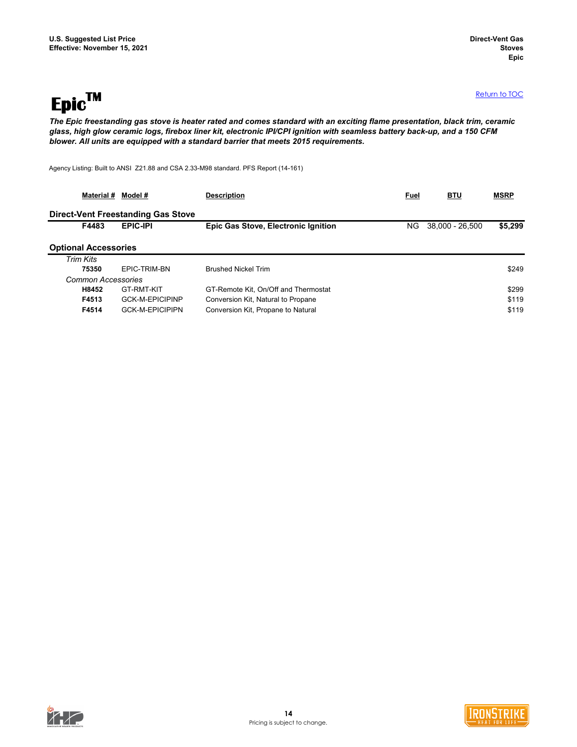<span id="page-13-0"></span>**EpicTM**

*The Epic freestanding gas stove is heater rated and comes standard with an exciting flame presentation, black trim, ceramic glass, high glow ceramic logs, firebox liner kit, electronic IPI/CPI ignition with seamless battery back-up, and a 150 CFM blower. All units are equipped with a standard barrier that meets 2015 requirements.*

Agency Listing: Built to ANSI Z21.88 and CSA 2.33-M98 standard. PFS Report (14-161)

| Material #                  | Model #                                   | <b>Description</b>                         | <b>Fuel</b> | <b>BTU</b>      | <b>MSRP</b> |
|-----------------------------|-------------------------------------------|--------------------------------------------|-------------|-----------------|-------------|
|                             | <b>Direct-Vent Freestanding Gas Stove</b> |                                            |             |                 |             |
| F4483                       | <b>EPIC-IPI</b>                           | <b>Epic Gas Stove, Electronic Ignition</b> | NG.         | 38,000 - 26,500 | \$5,299     |
| <b>Optional Accessories</b> |                                           |                                            |             |                 |             |
| Trim Kits                   |                                           |                                            |             |                 |             |
| 75350                       | EPIC-TRIM-BN                              | <b>Brushed Nickel Trim</b>                 |             |                 | \$249       |
| <b>Common Accessories</b>   |                                           |                                            |             |                 |             |
| H8452                       | GT-RMT-KIT                                | GT-Remote Kit, On/Off and Thermostat       |             |                 | \$299       |
| F4513                       | <b>GCK-M-EPICIPINP</b>                    | Conversion Kit, Natural to Propane         |             |                 | \$119       |
| F4514                       | <b>GCK-M-EPICIPIPN</b>                    | Conversion Kit, Propane to Natural         |             |                 | \$119       |



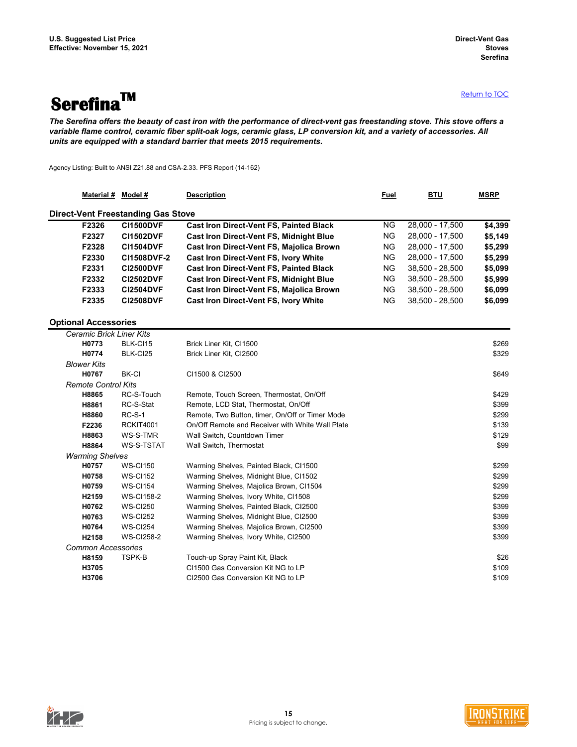# <span id="page-14-0"></span>**SerefinaTM**

[R](#page-0-0)eturn to TOC

*The Serefina offers the beauty of cast iron with the performance of direct-vent gas freestanding stove. This stove offers a variable flame control, ceramic fiber split-oak logs, ceramic glass, LP conversion kit, and a variety of accessories. All units are equipped with a standard barrier that meets 2015 requirements.*

Agency Listing: Built to ANSI Z21.88 and CSA-2.33. PFS Report (14-162)

|       | <b>Material #</b><br>Model #              | <b>Description</b>                              | <b>Fuel</b> | <b>BTU</b>      | <b>MSRP</b> |
|-------|-------------------------------------------|-------------------------------------------------|-------------|-----------------|-------------|
|       | <b>Direct-Vent Freestanding Gas Stove</b> |                                                 |             |                 |             |
| F2326 | <b>CI1500DVF</b>                          | <b>Cast Iron Direct-Vent FS, Painted Black</b>  | NG.         | 28,000 - 17,500 | \$4,399     |
| F2327 | <b>CI1502DVF</b>                          | <b>Cast Iron Direct-Vent FS, Midnight Blue</b>  | <b>NG</b>   | 28,000 - 17,500 | \$5,149     |
| F2328 | <b>CI1504DVF</b>                          | <b>Cast Iron Direct-Vent FS, Majolica Brown</b> | NG.         | 28,000 - 17,500 | \$5,299     |
| F2330 | <b>CI1508DVF-2</b>                        | <b>Cast Iron Direct-Vent FS, Ivory White</b>    | <b>NG</b>   | 28,000 - 17,500 | \$5,299     |
| F2331 | <b>CI2500DVF</b>                          | <b>Cast Iron Direct-Vent FS, Painted Black</b>  | <b>NG</b>   | 38,500 - 28,500 | \$5,099     |
| F2332 | <b>CI2502DVF</b>                          | <b>Cast Iron Direct-Vent FS, Midnight Blue</b>  | <b>NG</b>   | 38,500 - 28,500 | \$5,999     |
| F2333 | <b>CI2504DVF</b>                          | <b>Cast Iron Direct-Vent FS, Majolica Brown</b> | <b>NG</b>   | 38,500 - 28,500 | \$6,099     |
| F2335 | <b>CI2508DVF</b>                          | <b>Cast Iron Direct-Vent FS, Ivory White</b>    | <b>NG</b>   | 38,500 - 28,500 | \$6,099     |

### **Optional Accessories**

| <b>Ceramic Brick Liner Kits</b> |                   |                                                  |       |
|---------------------------------|-------------------|--------------------------------------------------|-------|
| H0773                           | BLK-CI15          | Brick Liner Kit, Cl1500                          | \$269 |
| H0774                           | BLK-CI25          | Brick Liner Kit, Cl2500                          | \$329 |
| <b>Blower Kits</b>              |                   |                                                  |       |
| H0767                           | <b>BK-CI</b>      | CI1500 & CI2500                                  | \$649 |
| <b>Remote Control Kits</b>      |                   |                                                  |       |
| H8865                           | RC-S-Touch        | Remote, Touch Screen, Thermostat, On/Off         | \$429 |
| H8861                           | RC-S-Stat         | Remote, LCD Stat, Thermostat, On/Off             | \$399 |
| H8860                           | <b>RC-S-1</b>     | Remote, Two Button, timer, On/Off or Timer Mode  | \$299 |
| F2236                           | <b>RCKIT4001</b>  | On/Off Remote and Receiver with White Wall Plate | \$139 |
| H8863                           | WS-S-TMR          | Wall Switch, Countdown Timer                     | \$129 |
| H8864                           | WS-S-TSTAT        | Wall Switch, Thermostat                          | \$99  |
| <b>Warming Shelves</b>          |                   |                                                  |       |
| H0757                           | <b>WS-CI150</b>   | Warming Shelves, Painted Black, CI1500           | \$299 |
| H0758                           | <b>WS-CI152</b>   | Warming Shelves, Midnight Blue, Cl1502           | \$299 |
| H0759                           | <b>WS-CI154</b>   | Warming Shelves, Majolica Brown, Cl1504          | \$299 |
| H <sub>2159</sub>               | <b>WS-CI158-2</b> | Warming Shelves, Ivory White, CI1508             | \$299 |
| H0762                           | <b>WS-CI250</b>   | Warming Shelves, Painted Black, CI2500           | \$399 |
| H0763                           | <b>WS-CI252</b>   | Warming Shelves, Midnight Blue, CI2500           | \$399 |
| H0764                           | <b>WS-CI254</b>   | Warming Shelves, Majolica Brown, CI2500          | \$399 |
| H2158                           | <b>WS-Cl258-2</b> | Warming Shelves, Ivory White, CI2500             | \$399 |
| <b>Common Accessories</b>       |                   |                                                  |       |
| H8159                           | TSPK-B            | Touch-up Spray Paint Kit, Black                  | \$26  |
| H3705                           |                   | CI1500 Gas Conversion Kit NG to LP               | \$109 |
| H3706                           |                   | CI2500 Gas Conversion Kit NG to LP               | \$109 |
|                                 |                   |                                                  |       |



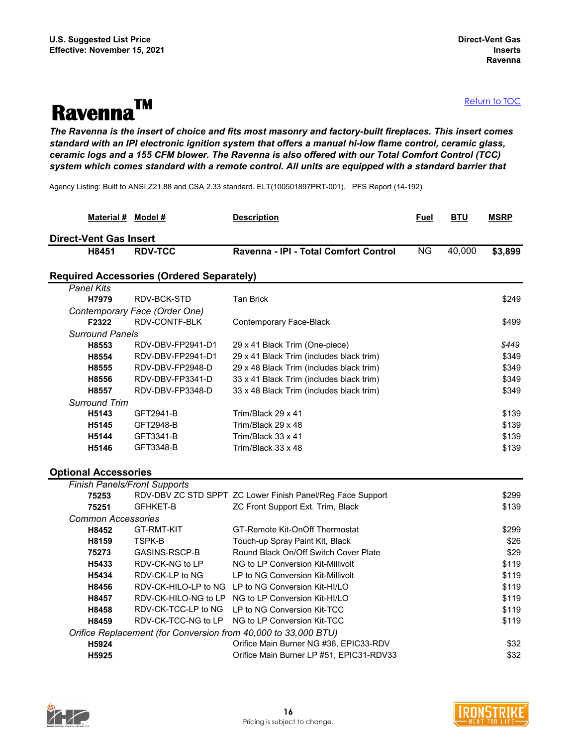# **RavennaTM**

*The Ravenna is the insert of choice and fits most masonry and factory-built fireplaces. This insert comes standard with an IPI electronic ignition system that offers a manual hi-low flame control, ceramic glass, ceramic logs and a 155 CFM blower. The Ravenna is also offered with our Total Comfort Control (TCC) system which comes standard with a remote control. All units are equipped with a standard barrier that* 

<span id="page-15-0"></span>Agency Listing: Built to ANSI Z21.88 and CSA 2.33 standard. ELT(100501897PRT-001). PFS Report (14-192)

| Material # Model #                  |                                                  | <b>Description</b>                                             | <b>Fuel</b> | <b>BTU</b> | <b>MSRP</b> |
|-------------------------------------|--------------------------------------------------|----------------------------------------------------------------|-------------|------------|-------------|
| <b>Direct-Vent Gas Insert</b>       |                                                  |                                                                |             |            |             |
| H8451                               | <b>RDV-TCC</b>                                   | Ravenna - IPI - Total Comfort Control                          | <b>NG</b>   | 40,000     | \$3,899     |
|                                     | <b>Required Accessories (Ordered Separately)</b> |                                                                |             |            |             |
| <b>Panel Kits</b>                   |                                                  |                                                                |             |            |             |
| H7979                               | RDV-BCK-STD                                      | <b>Tan Brick</b>                                               |             |            | \$249       |
|                                     | Contemporary Face (Order One)                    |                                                                |             |            |             |
| F2322                               | RDV-CONTF-BLK                                    | Contemporary Face-Black                                        |             |            | \$499       |
| <b>Surround Panels</b>              |                                                  |                                                                |             |            |             |
| H8553                               | RDV-DBV-FP2941-D1                                | 29 x 41 Black Trim (One-piece)                                 |             |            | \$449       |
| H8554                               | RDV-DBV-FP2941-D1                                | 29 x 41 Black Trim (includes black trim)                       |             |            | \$349       |
| H8555                               | RDV-DBV-FP2948-D                                 | 29 x 48 Black Trim (includes black trim)                       |             |            | \$349       |
| H8556                               | RDV-DBV-FP3341-D                                 | 33 x 41 Black Trim (includes black trim)                       |             |            | \$349       |
| H8557                               | RDV-DBV-FP3348-D                                 | 33 x 48 Black Trim (includes black trim)                       |             |            | \$349       |
| <b>Surround Trim</b>                |                                                  |                                                                |             |            |             |
| H5143                               | GFT2941-B                                        | Trim/Black 29 x 41                                             |             |            | \$139       |
| H5145                               | GFT2948-B                                        | Trim/Black 29 x 48                                             |             |            | \$139       |
| H5144                               | GFT3341-B                                        | Trim/Black 33 x 41                                             |             |            | \$139       |
| H5146                               | GFT3348-B                                        | Trim/Black 33 x 48                                             |             |            | \$139       |
| <b>Optional Accessories</b>         |                                                  |                                                                |             |            |             |
| <b>Finish Panels/Front Supports</b> |                                                  |                                                                |             |            |             |
| 75253                               |                                                  | RDV-DBV ZC STD SPPT ZC Lower Finish Panel/Reg Face Support     |             |            | \$299       |
| 75251                               | <b>GFHKET-B</b>                                  | ZC Front Support Ext. Trim, Black                              |             |            | \$139       |
| <b>Common Accessories</b>           |                                                  |                                                                |             |            |             |
| H8452                               | <b>GT-RMT-KIT</b>                                | GT-Remote Kit-OnOff Thermostat                                 |             |            | \$299       |
| H8159                               | <b>TSPK-B</b>                                    | Touch-up Spray Paint Kit, Black                                |             |            | \$26        |
| 75273                               | GASINS-RSCP-B                                    | Round Black On/Off Switch Cover Plate                          |             |            | \$29        |
| H5433                               | RDV-CK-NG to LP                                  | NG to LP Conversion Kit-Millivolt                              |             |            | \$119       |
| H5434                               | RDV-CK-LP to NG                                  | LP to NG Conversion Kit-Millivolt                              |             |            | \$119       |
| H8456                               | RDV-CK-HILO-LP to NG                             | LP to NG Conversion Kit-HI/LO                                  |             |            | \$119       |
| H8457                               | RDV-CK-HILO-NG to LP                             | NG to LP Conversion Kit-HI/LO                                  |             |            | \$119       |
| H8458                               | RDV-CK-TCC-LP to NG                              | LP to NG Conversion Kit-TCC                                    |             |            | \$119       |
| H8459                               | RDV-CK-TCC-NG to LP                              | NG to LP Conversion Kit-TCC                                    |             |            | \$119       |
|                                     |                                                  | Orifice Replacement (for Conversion from 40,000 to 33,000 BTU) |             |            |             |
| H5924                               |                                                  | Orifice Main Burner NG #36, EPIC33-RDV                         |             |            | \$32        |
| H5925                               |                                                  | Orifice Main Burner LP #51, EPIC31-RDV33                       |             |            | \$32        |



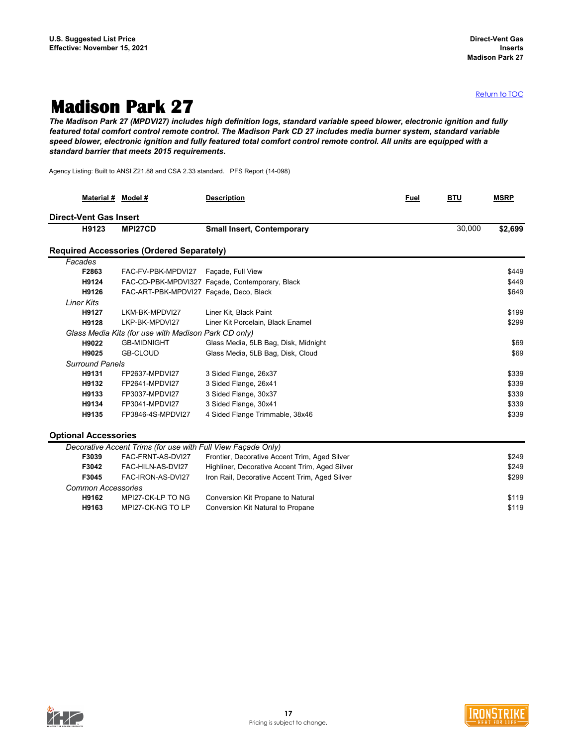### <span id="page-16-0"></span>**Madison Park 27**

*The Madison Park 27 (MPDVI27) includes high definition logs, standard variable speed blower, electronic ignition and fully featured total comfort control remote control. The Madison Park CD 27 includes media burner system, standard variable speed blower, electronic ignition and fully featured total comfort control remote control. All units are equipped with a standard barrier that meets 2015 requirements.*

Agency Listing: Built to ANSI Z21.88 and CSA 2.33 standard. PFS Report (14-098)

| Material # Model #            |                                                              | <b>Description</b>                              | <b>Fuel</b> | <b>BTU</b> | <b>MSRP</b> |
|-------------------------------|--------------------------------------------------------------|-------------------------------------------------|-------------|------------|-------------|
| <b>Direct-Vent Gas Insert</b> |                                                              |                                                 |             |            |             |
| H9123                         | MPI27CD                                                      | <b>Small Insert, Contemporary</b>               |             | 30,000     | \$2,699     |
|                               | <b>Required Accessories (Ordered Separately)</b>             |                                                 |             |            |             |
| Facades                       |                                                              |                                                 |             |            |             |
| F2863                         | FAC-FV-PBK-MPDVI27                                           | Façade, Full View                               |             |            | \$449       |
| H9124                         |                                                              | FAC-CD-PBK-MPDVI327 Façade, Contemporary, Black |             |            | \$449       |
| H9126                         | FAC-ART-PBK-MPDVI27 Façade, Deco, Black                      |                                                 |             |            | \$649       |
| <b>Liner Kits</b>             |                                                              |                                                 |             |            |             |
| H9127                         | LKM-BK-MPDVI27                                               | Liner Kit, Black Paint                          |             |            | \$199       |
| H9128                         | LKP-BK-MPDVI27                                               | Liner Kit Porcelain, Black Enamel               |             |            | \$299       |
|                               | Glass Media Kits (for use with Madison Park CD only)         |                                                 |             |            |             |
| H9022                         | <b>GB-MIDNIGHT</b>                                           | Glass Media, 5LB Bag, Disk, Midnight            |             |            | \$69        |
| H9025                         | <b>GB-CLOUD</b>                                              | Glass Media, 5LB Bag, Disk, Cloud               |             |            | \$69        |
| <b>Surround Panels</b>        |                                                              |                                                 |             |            |             |
| H9131                         | FP2637-MPDVI27                                               | 3 Sided Flange, 26x37                           |             |            | \$339       |
| H9132                         | FP2641-MPDVI27                                               | 3 Sided Flange, 26x41                           |             |            | \$339       |
| H9133                         | FP3037-MPDVI27                                               | 3 Sided Flange, 30x37                           |             |            | \$339       |
| H9134                         | FP3041-MPDVI27                                               | 3 Sided Flange, 30x41                           |             |            | \$339       |
| H9135                         | FP3846-4S-MPDVI27                                            | 4 Sided Flange Trimmable, 38x46                 |             |            | \$339       |
| <b>Optional Accessories</b>   |                                                              |                                                 |             |            |             |
|                               | Decorative Accent Trims (for use with Full View Façade Only) |                                                 |             |            |             |
| F3039                         | FAC-FRNT-AS-DVI27                                            | Frontier, Decorative Accent Trim, Aged Silver   |             |            | \$249       |
| F3042                         | FAC-HILN-AS-DVI27                                            | Highliner, Decorative Accent Trim, Aged Silver  |             |            | \$249       |
| F3045                         | FAC-IRON-AS-DVI27                                            | Iron Rail, Decorative Accent Trim, Aged Silver  |             |            | \$299       |
| <b>Common Accessories</b>     |                                                              |                                                 |             |            |             |
| H9162                         | MPI27-CK-LP TO NG                                            | Conversion Kit Propane to Natural               |             |            | \$119       |
| H9163                         | MPI27-CK-NG TO LP                                            | Conversion Kit Natural to Propane               |             |            | \$119       |



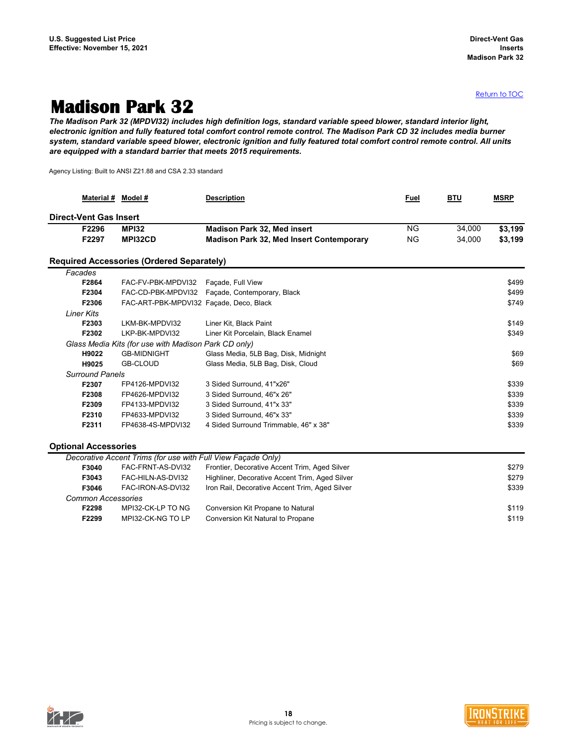### <span id="page-17-0"></span>**Madison Park 32**

*The Madison Park 32 (MPDVI32) includes high definition logs, standard variable speed blower, standard interior light, electronic ignition and fully featured total comfort control remote control. The Madison Park CD 32 includes media burner system, standard variable speed blower, electronic ignition and fully featured total comfort control remote control. All units are equipped with a standard barrier that meets 2015 requirements.*

Agency Listing: Built to ANSI Z21.88 and CSA 2.33 standard

| <b>Material #</b>             | Model #                                                      | <b>Description</b>                              | <b>Fuel</b>            | <b>BTU</b> | <b>MSRP</b> |
|-------------------------------|--------------------------------------------------------------|-------------------------------------------------|------------------------|------------|-------------|
| <b>Direct-Vent Gas Insert</b> |                                                              |                                                 |                        |            |             |
| F2296                         | <b>MPI32</b>                                                 | <b>Madison Park 32, Med insert</b>              | $\overline{\text{NG}}$ | 34,000     | \$3,199     |
| F2297                         | MPI32CD                                                      | <b>Madison Park 32, Med Insert Contemporary</b> | <b>NG</b>              | 34,000     | \$3,199     |
|                               | <b>Required Accessories (Ordered Separately)</b>             |                                                 |                        |            |             |
| Facades                       |                                                              |                                                 |                        |            |             |
| F2864                         | FAC-FV-PBK-MPDVI32                                           | Façade, Full View                               |                        |            | \$499       |
| F2304                         | FAC-CD-PBK-MPDVI32                                           | Façade, Contemporary, Black                     |                        |            | \$499       |
| F2306                         | FAC-ART-PBK-MPDVI32 Façade, Deco, Black                      |                                                 |                        |            | \$749       |
| <b>Liner Kits</b>             |                                                              |                                                 |                        |            |             |
| F2303                         | LKM-BK-MPDVI32                                               | Liner Kit, Black Paint                          |                        |            | \$149       |
| F2302                         | LKP-BK-MPDVI32                                               | Liner Kit Porcelain, Black Enamel               |                        |            | \$349       |
|                               | Glass Media Kits (for use with Madison Park CD only)         |                                                 |                        |            |             |
| H9022                         | <b>GB-MIDNIGHT</b>                                           | Glass Media, 5LB Bag, Disk, Midnight            |                        |            | \$69        |
| H9025                         | <b>GB-CLOUD</b>                                              | Glass Media, 5LB Bag, Disk, Cloud               |                        |            | \$69        |
| <b>Surround Panels</b>        |                                                              |                                                 |                        |            |             |
| F2307                         | FP4126-MPDVI32                                               | 3 Sided Surround, 41"x26"                       |                        |            | \$339       |
| F2308                         | FP4626-MPDVI32                                               | 3 Sided Surround, 46"x 26"                      |                        |            | \$339       |
| F2309                         | FP4133-MPDVI32                                               | 3 Sided Surround, 41"x 33"                      |                        |            | \$339       |
| F2310                         | FP4633-MPDVI32                                               | 3 Sided Surround, 46"x 33"                      |                        |            | \$339       |
| F2311                         | FP4638-4S-MPDVI32                                            | 4 Sided Surround Trimmable, 46" x 38"           |                        |            | \$339       |
| <b>Optional Accessories</b>   |                                                              |                                                 |                        |            |             |
|                               | Decorative Accent Trims (for use with Full View Façade Only) |                                                 |                        |            |             |
| F3040                         | FAC-FRNT-AS-DVI32                                            | Frontier, Decorative Accent Trim, Aged Silver   |                        |            | \$279       |
| F3043                         | FAC-HILN-AS-DVI32                                            | Highliner, Decorative Accent Trim, Aged Silver  |                        |            | \$279       |
| F3046                         | FAC-IRON-AS-DVI32                                            | Iron Rail, Decorative Accent Trim, Aged Silver  |                        |            | \$339       |
| <b>Common Accessories</b>     |                                                              |                                                 |                        |            |             |
| F2298                         | MPI32-CK-LP TO NG                                            | Conversion Kit Propane to Natural               |                        |            | \$119       |
| F2299                         | MPI32-CK-NG TO LP                                            | Conversion Kit Natural to Propane               |                        |            | \$119       |



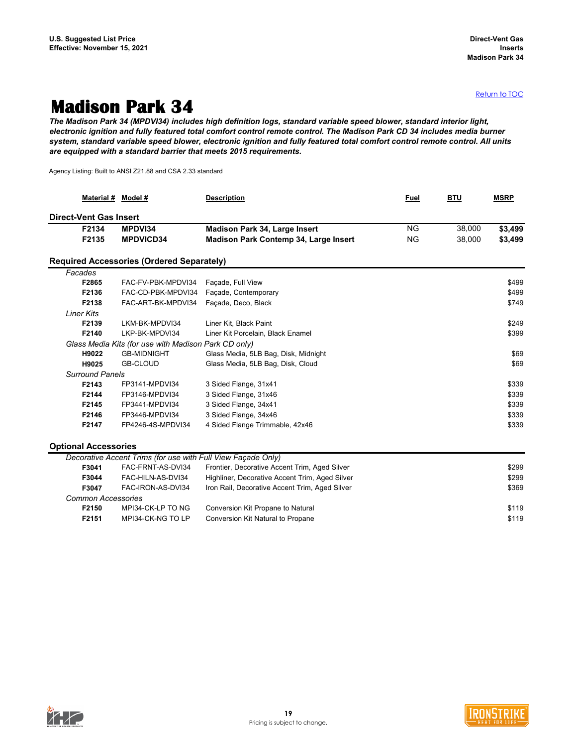### <span id="page-18-0"></span>**Madison Park 34**

*The Madison Park 34 (MPDVI34) includes high definition logs, standard variable speed blower, standard interior light, electronic ignition and fully featured total comfort control remote control. The Madison Park CD 34 includes media burner system, standard variable speed blower, electronic ignition and fully featured total comfort control remote control. All units are equipped with a standard barrier that meets 2015 requirements.*

Agency Listing: Built to ANSI Z21.88 and CSA 2.33 standard

| <b>Material #</b>             | Model #                                                      | <b>Description</b>                             | <b>Fuel</b> | <b>BTU</b> | <b>MSRP</b> |
|-------------------------------|--------------------------------------------------------------|------------------------------------------------|-------------|------------|-------------|
| <b>Direct-Vent Gas Insert</b> |                                                              |                                                |             |            |             |
| F2134                         | MPDVI34                                                      | <b>Madison Park 34, Large Insert</b>           | <b>NG</b>   | 38,000     | \$3,499     |
| F2135                         | <b>MPDVICD34</b>                                             | <b>Madison Park Contemp 34, Large Insert</b>   | <b>NG</b>   | 38,000     | \$3,499     |
|                               | <b>Required Accessories (Ordered Separately)</b>             |                                                |             |            |             |
| Facades                       |                                                              |                                                |             |            |             |
| F2865                         | FAC-FV-PBK-MPDVI34                                           | Façade, Full View                              |             |            | \$499       |
| F2136                         | FAC-CD-PBK-MPDVI34                                           | Façade, Contemporary                           |             |            | \$499       |
| F2138                         | FAC-ART-BK-MPDVI34                                           | Façade, Deco, Black                            |             |            | \$749       |
| <b>Liner Kits</b>             |                                                              |                                                |             |            |             |
| F2139                         | LKM-BK-MPDVI34                                               | Liner Kit, Black Paint                         |             |            | \$249       |
| F2140                         | LKP-BK-MPDVI34                                               | Liner Kit Porcelain, Black Enamel              |             |            | \$399       |
|                               | Glass Media Kits (for use with Madison Park CD only)         |                                                |             |            |             |
| H9022                         | <b>GB-MIDNIGHT</b>                                           | Glass Media, 5LB Bag, Disk, Midnight           |             |            | \$69        |
| H9025                         | <b>GB-CLOUD</b>                                              | Glass Media, 5LB Bag, Disk, Cloud              |             |            | \$69        |
| <b>Surround Panels</b>        |                                                              |                                                |             |            |             |
| F2143                         | FP3141-MPDVI34                                               | 3 Sided Flange, 31x41                          |             |            | \$339       |
| F2144                         | FP3146-MPDVI34                                               | 3 Sided Flange, 31x46                          |             |            | \$339       |
| F2145                         | FP3441-MPDVI34                                               | 3 Sided Flange, 34x41                          |             |            | \$339       |
| F2146                         | FP3446-MPDVI34                                               | 3 Sided Flange, 34x46                          |             |            | \$339       |
| F2147                         | FP4246-4S-MPDVI34                                            | 4 Sided Flange Trimmable, 42x46                |             |            | \$339       |
| <b>Optional Accessories</b>   |                                                              |                                                |             |            |             |
|                               | Decorative Accent Trims (for use with Full View Façade Only) |                                                |             |            |             |
| F3041                         | FAC-FRNT-AS-DVI34                                            | Frontier, Decorative Accent Trim, Aged Silver  |             |            | \$299       |
| F3044                         | FAC-HILN-AS-DVI34                                            | Highliner, Decorative Accent Trim, Aged Silver |             |            | \$299       |
| F3047                         | FAC-IRON-AS-DVI34                                            | Iron Rail, Decorative Accent Trim, Aged Silver |             |            | \$369       |
| <b>Common Accessories</b>     |                                                              |                                                |             |            |             |
| F2150                         | MPI34-CK-LP TO NG                                            | Conversion Kit Propane to Natural              |             |            | \$119       |
| F2151                         | MPI34-CK-NG TO LP                                            | Conversion Kit Natural to Propane              |             |            | \$119       |



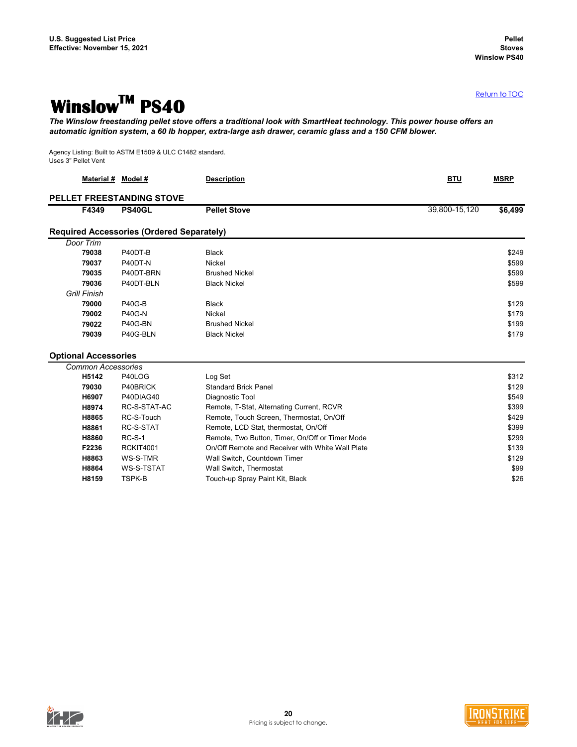### <span id="page-19-0"></span>**WinslowTM PS40**

*The Winslow freestanding pellet stove offers a traditional look with SmartHeat technology. This power house offers an automatic ignition system, a 60 lb hopper, extra-large ash drawer, ceramic glass and a 150 CFM blower.*

Agency Listing: Built to ASTM E1509 & ULC C1482 standard. Uses 3" Pellet Vent

| Material # Model #          |                                                  | <b>Description</b>                               | <b>BTU</b>    | <b>MSRP</b> |
|-----------------------------|--------------------------------------------------|--------------------------------------------------|---------------|-------------|
|                             | PELLET FREESTANDING STOVE                        |                                                  |               |             |
| F4349                       | PS40GL                                           | <b>Pellet Stove</b>                              | 39,800-15,120 | \$6,499     |
|                             | <b>Required Accessories (Ordered Separately)</b> |                                                  |               |             |
| Door Trim                   |                                                  |                                                  |               |             |
| 79038                       | P40DT-B                                          | <b>Black</b>                                     |               | \$249       |
| 79037                       | P40DT-N                                          | Nickel                                           |               | \$599       |
| 79035                       | P40DT-BRN                                        | <b>Brushed Nickel</b>                            |               | \$599       |
| 79036                       | P40DT-BLN                                        | <b>Black Nickel</b>                              |               | \$599       |
| <b>Grill Finish</b>         |                                                  |                                                  |               |             |
| 79000                       | <b>P40G-B</b>                                    | <b>Black</b>                                     |               | \$129       |
| 79002                       | <b>P40G-N</b>                                    | Nickel                                           |               | \$179       |
| 79022                       | P40G-BN                                          | <b>Brushed Nickel</b>                            |               | \$199       |
| 79039                       | P40G-BLN                                         | <b>Black Nickel</b>                              |               | \$179       |
| <b>Optional Accessories</b> |                                                  |                                                  |               |             |
| <b>Common Accessories</b>   |                                                  |                                                  |               |             |
| H5142                       | P40LOG                                           | Log Set                                          |               | \$312       |
| 79030                       | P40BRICK                                         | <b>Standard Brick Panel</b>                      |               | \$129       |
| H6907                       | P40DIAG40                                        | Diagnostic Tool                                  |               | \$549       |
| H8974                       | RC-S-STAT-AC                                     | Remote, T-Stat, Alternating Current, RCVR        |               | \$399       |
| H8865                       | RC-S-Touch                                       | Remote, Touch Screen, Thermostat, On/Off         |               | \$429       |
| H8861                       | RC-S-STAT                                        | Remote, LCD Stat, thermostat, On/Off             |               | \$399       |
| H8860                       | $RC-S-1$                                         | Remote, Two Button, Timer, On/Off or Timer Mode  |               | \$299       |
| F2236                       | <b>RCKIT4001</b>                                 | On/Off Remote and Receiver with White Wall Plate |               | \$139       |
| H8863                       | WS-S-TMR                                         | Wall Switch, Countdown Timer                     |               | \$129       |
| H8864                       | <b>WS-S-TSTAT</b>                                | Wall Switch, Thermostat                          |               | \$99        |
| H8159                       | <b>TSPK-B</b>                                    | Touch-up Spray Paint Kit, Black                  |               | \$26        |



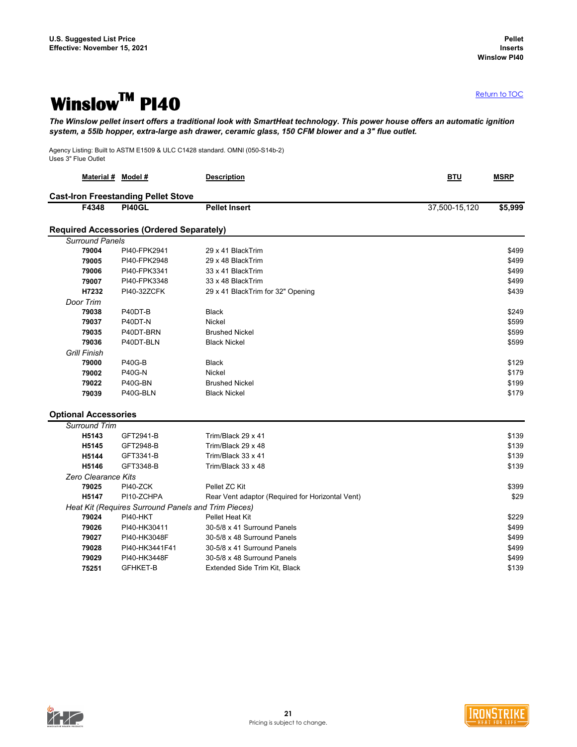### <span id="page-20-0"></span>**WinslowTM PI40**

*The Winslow pellet insert offers a traditional look with SmartHeat technology. This power house offers an automatic ignition system, a 55lb hopper, extra-large ash drawer, ceramic glass, 150 CFM blower and a 3" flue outlet.*

Agency Listing: Built to ASTM E1509 & ULC C1428 standard. OMNI (050-S14b-2) Uses 3" Flue Outlet

| Material # Model #          |                                                     | <b>Description</b>                               | <b>BTU</b>    | <b>MSRP</b> |
|-----------------------------|-----------------------------------------------------|--------------------------------------------------|---------------|-------------|
|                             | <b>Cast-Iron Freestanding Pellet Stove</b>          |                                                  |               |             |
| F4348                       | <b>PI40GL</b>                                       | <b>Pellet Insert</b>                             | 37,500-15,120 | \$5,999     |
|                             | <b>Required Accessories (Ordered Separately)</b>    |                                                  |               |             |
| <b>Surround Panels</b>      |                                                     |                                                  |               |             |
| 79004                       | PI40-FPK2941                                        | 29 x 41 BlackTrim                                |               | \$499       |
| 79005                       | PI40-FPK2948                                        | 29 x 48 BlackTrim                                |               | \$499       |
| 79006                       | PI40-FPK3341                                        | 33 x 41 BlackTrim                                |               | \$499       |
| 79007                       | PI40-FPK3348                                        | 33 x 48 BlackTrim                                |               | \$499       |
| H7232                       | <b>PI40-32ZCFK</b>                                  | 29 x 41 BlackTrim for 32" Opening                |               | \$439       |
| Door Trim                   |                                                     |                                                  |               |             |
| 79038                       | P40DT-B                                             | <b>Black</b>                                     |               | \$249       |
| 79037                       | P40DT-N                                             | <b>Nickel</b>                                    |               | \$599       |
| 79035                       | P40DT-BRN                                           | <b>Brushed Nickel</b>                            |               | \$599       |
| 79036                       | P40DT-BLN                                           | <b>Black Nickel</b>                              |               | \$599       |
| <b>Grill Finish</b>         |                                                     |                                                  |               |             |
| 79000                       | <b>P40G-B</b>                                       | <b>Black</b>                                     |               | \$129       |
| 79002                       | <b>P40G-N</b>                                       | Nickel                                           |               | \$179       |
| 79022                       | P40G-BN                                             | <b>Brushed Nickel</b>                            |               | \$199       |
| 79039                       | P40G-BLN                                            | <b>Black Nickel</b>                              |               | \$179       |
| <b>Optional Accessories</b> |                                                     |                                                  |               |             |
| <b>Surround Trim</b>        |                                                     |                                                  |               |             |
| H5143                       | GFT2941-B                                           | Trim/Black 29 x 41                               |               | \$139       |
| H5145                       | GFT2948-B                                           | Trim/Black 29 x 48                               |               | \$139       |
| H5144                       | GFT3341-B                                           | Trim/Black 33 x 41                               |               | \$139       |
| H5146                       | GFT3348-B                                           | Trim/Black 33 x 48                               |               | \$139       |
| Zero Clearance Kits         |                                                     |                                                  |               |             |
| 79025                       | PI40-ZCK                                            | Pellet ZC Kit                                    |               | \$399       |
| H5147                       | PI10-ZCHPA                                          | Rear Vent adaptor (Required for Horizontal Vent) |               | \$29        |
|                             | Heat Kit (Requires Surround Panels and Trim Pieces) |                                                  |               |             |
| 79024                       | PI40-HKT                                            | Pellet Heat Kit                                  |               | \$229       |
| 79026                       | PI40-HK30411                                        | 30-5/8 x 41 Surround Panels                      |               | \$499       |
| 79027                       | PI40-HK3048F                                        | 30-5/8 x 48 Surround Panels                      |               | \$499       |
| 79028                       | PI40-HK3441F41                                      | 30-5/8 x 41 Surround Panels                      |               | \$499       |
| 79029                       | PI40-HK3448F                                        | 30-5/8 x 48 Surround Panels                      |               | \$499       |
| 75251                       | <b>GFHKET-B</b>                                     | Extended Side Trim Kit, Black                    |               | \$139       |
|                             |                                                     |                                                  |               |             |